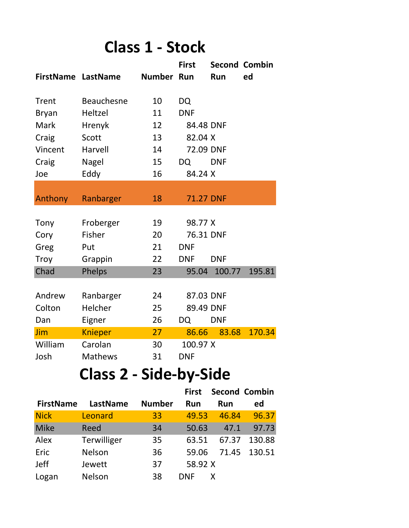## **Class 1 - Stock**

|                           |                   |            | <b>First</b>     |            | <b>Second Combin</b> |
|---------------------------|-------------------|------------|------------------|------------|----------------------|
| <b>FirstName LastName</b> |                   | Number Run |                  | Run        | ed                   |
|                           |                   |            |                  |            |                      |
| <b>Trent</b>              | <b>Beauchesne</b> | 10         | DQ               |            |                      |
| <b>Bryan</b>              | Heltzel           | 11         | <b>DNF</b>       |            |                      |
| Mark                      | Hrenyk            | 12         | 84.48 DNF        |            |                      |
| Craig                     | Scott             | 13         | 82.04 X          |            |                      |
| Vincent                   | Harvell           | 14         | 72.09 DNF        |            |                      |
| Craig                     | <b>Nagel</b>      | 15         | DQ               | <b>DNF</b> |                      |
| Joe                       | Eddy              | 16         | 84.24 X          |            |                      |
|                           |                   |            |                  |            |                      |
| Anthony                   | Ranbarger         | 18         | <b>71.27 DNF</b> |            |                      |
|                           |                   |            |                  |            |                      |
| Tony                      | Froberger         | 19         | 98.77 X          |            |                      |
| Cory                      | Fisher            | 20         | 76.31 DNF        |            |                      |
| Greg                      | Put               | 21         | <b>DNF</b>       |            |                      |
| <b>Troy</b>               | Grappin           | 22         | <b>DNF</b>       | <b>DNF</b> |                      |
| Chad                      | Phelps            | 23         | 95.04            | 100.77     | 195.81               |
|                           |                   |            |                  |            |                      |
| Andrew                    | Ranbarger         | 24         | 87.03 DNF        |            |                      |
| Colton                    | Helcher           | 25         | 89.49 DNF        |            |                      |
| Dan                       | Eigner            | 26         | DQ               | <b>DNF</b> |                      |
| Jim                       | <b>Knieper</b>    | 27         | 86.66            | 83.68      | 170.34               |
| William                   | Carolan           | 30         | 100.97 X         |            |                      |
| Josh                      | <b>Mathews</b>    | 31         | <b>DNF</b>       |            |                      |

## **Class 2 - Side-by-Side**

|                  |               |               | <b>First</b> | <b>Second Combin</b> |        |
|------------------|---------------|---------------|--------------|----------------------|--------|
| <b>FirstName</b> | LastName      | <b>Number</b> | <b>Run</b>   | Run                  | ed     |
| <b>Nick</b>      | Leonard       | 33            | 49.53        | 46.84                | 96.37  |
| <b>Mike</b>      | Reed          | 34            | 50.63        | 47.1                 | 97.73  |
| Alex             | Terwilliger   | 35            | 63.51        | 67.37                | 130.88 |
| Eric             | Nelson        | 36            | 59.06        | 71.45                | 130.51 |
| <b>Jeff</b>      | Jewett        | 37            | 58.92 X      |                      |        |
| Logan            | <b>Nelson</b> | 38            | <b>DNF</b>   |                      |        |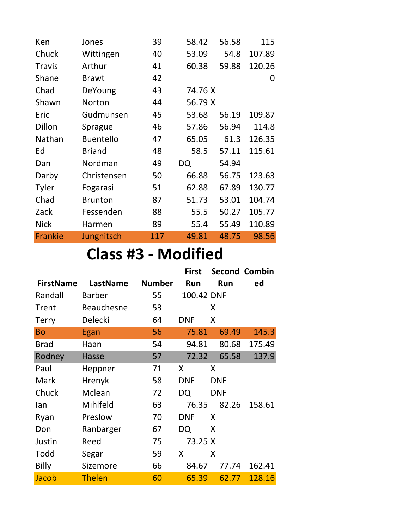| Ken           | Jones            | 39  | 58.42   | 56.58 | 115    |  |  |
|---------------|------------------|-----|---------|-------|--------|--|--|
| Chuck         | Wittingen        | 40  | 53.09   | 54.8  | 107.89 |  |  |
| <b>Travis</b> | Arthur           | 41  | 60.38   | 59.88 | 120.26 |  |  |
| Shane         | <b>Brawt</b>     | 42  |         |       | 0      |  |  |
| Chad          | DeYoung          | 43  | 74.76 X |       |        |  |  |
| Shawn         | Norton           | 44  | 56.79 X |       |        |  |  |
| Eric          | Gudmunsen        | 45  | 53.68   | 56.19 | 109.87 |  |  |
| Dillon        | Sprague          | 46  | 57.86   | 56.94 | 114.8  |  |  |
| Nathan        | <b>Buentello</b> | 47  | 65.05   | 61.3  | 126.35 |  |  |
| Ed            | <b>Briand</b>    | 48  | 58.5    | 57.11 | 115.61 |  |  |
| Dan           | Nordman          | 49  | DQ      | 54.94 |        |  |  |
| Darby         | Christensen      | 50  | 66.88   | 56.75 | 123.63 |  |  |
| Tyler         | Fogarasi         | 51  | 62.88   | 67.89 | 130.77 |  |  |
| Chad          | <b>Brunton</b>   | 87  | 51.73   | 53.01 | 104.74 |  |  |
| Zack          | Fessenden        | 88  | 55.5    | 50.27 | 105.77 |  |  |
| <b>Nick</b>   | Harmen           | 89  | 55.4    | 55.49 | 110.89 |  |  |
| Frankie       | Jungnitsch       | 117 | 49.81   | 48.75 | 98.56  |  |  |

## **Class #3 - Modified**

|                  |                   |               | <b>First</b> |            | <b>Second Combin</b> |
|------------------|-------------------|---------------|--------------|------------|----------------------|
| <b>FirstName</b> | LastName          | <b>Number</b> | <b>Run</b>   | <b>Run</b> | ed                   |
| Randall          | <b>Barber</b>     | 55            | 100.42 DNF   |            |                      |
| Trent            | <b>Beauchesne</b> | 53            |              | Χ          |                      |
| <b>Terry</b>     | Delecki           | 64            | <b>DNF</b>   | X          |                      |
| <b>Bo</b>        | Egan              | 56            | 75.81        | 69.49      | 145.3                |
| <b>Brad</b>      | Haan              | 54            | 94.81        | 80.68      | 175.49               |
| Rodney           | <b>Hasse</b>      | 57            | 72.32        | 65.58      | 137.9                |
| Paul             | Heppner           | 71            | X            | X          |                      |
| Mark             | Hrenyk            | 58            | <b>DNF</b>   | <b>DNF</b> |                      |
| Chuck            | Mclean            | 72            | DQ           | <b>DNF</b> |                      |
| lan              | Mihlfeld          | 63            | 76.35        | 82.26      | 158.61               |
| Ryan             | Preslow           | 70            | <b>DNF</b>   | X          |                      |
| Don              | Ranbarger         | 67            | DQ           | X          |                      |
| Justin           | Reed              | 75            | 73.25 X      |            |                      |
| Todd             | Segar             | 59            | X            | X          |                      |
| Billy            | Sizemore          | 66            | 84.67        | 77.74      | 162.41               |
| Jacob            | <b>Thelen</b>     | 60            | 65.39        | 62.77      | 128.16               |